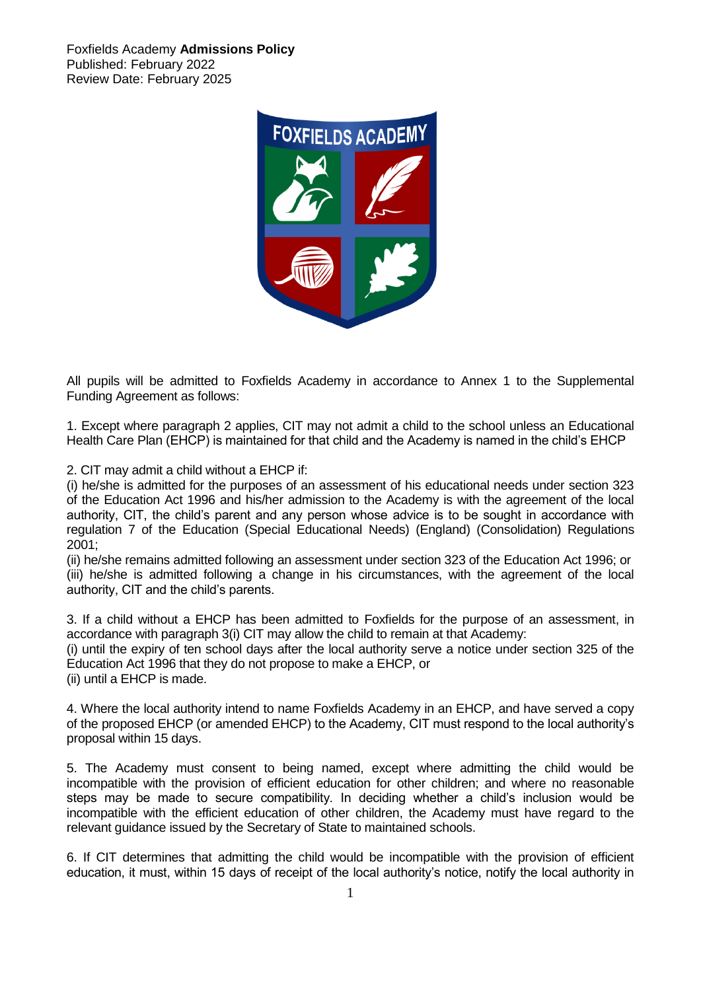Foxfields Academy **Admissions Policy** Published: February 2022 Review Date: February 2025



All pupils will be admitted to Foxfields Academy in accordance to Annex 1 to the Supplemental Funding Agreement as follows:

1. Except where paragraph 2 applies, CIT may not admit a child to the school unless an Educational Health Care Plan (EHCP) is maintained for that child and the Academy is named in the child's EHCP

2. CIT may admit a child without a EHCP if:

(i) he/she is admitted for the purposes of an assessment of his educational needs under section 323 of the Education Act 1996 and his/her admission to the Academy is with the agreement of the local authority, CIT, the child's parent and any person whose advice is to be sought in accordance with regulation 7 of the Education (Special Educational Needs) (England) (Consolidation) Regulations 2001;

(ii) he/she remains admitted following an assessment under section 323 of the Education Act 1996; or (iii) he/she is admitted following a change in his circumstances, with the agreement of the local authority, CIT and the child's parents.

3. If a child without a EHCP has been admitted to Foxfields for the purpose of an assessment, in accordance with paragraph 3(i) CIT may allow the child to remain at that Academy:

(i) until the expiry of ten school days after the local authority serve a notice under section 325 of the Education Act 1996 that they do not propose to make a EHCP, or (ii) until a EHCP is made.

4. Where the local authority intend to name Foxfields Academy in an EHCP, and have served a copy of the proposed EHCP (or amended EHCP) to the Academy, CIT must respond to the local authority's proposal within 15 days.

5. The Academy must consent to being named, except where admitting the child would be incompatible with the provision of efficient education for other children; and where no reasonable steps may be made to secure compatibility. In deciding whether a child's inclusion would be incompatible with the efficient education of other children, the Academy must have regard to the relevant guidance issued by the Secretary of State to maintained schools.

6. If CIT determines that admitting the child would be incompatible with the provision of efficient education, it must, within 15 days of receipt of the local authority's notice, notify the local authority in